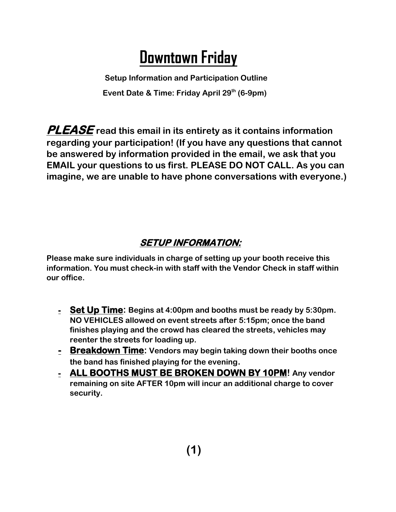# **Downtown Friday**

 **Setup Information and Participation Outline Event Date & Time: Friday April 29th (6-9pm)**

**PLEASE read this email in its entirety as it contains information regarding your participation! (If you have any questions that cannot be answered by information provided in the email, we ask that you EMAIL your questions to us first. PLEASE DO NOT CALL. As you can imagine, we are unable to have phone conversations with everyone.)**

#### **SETUP INFORMATION:**

**Please make sure individuals in charge of setting up your booth receive this information. You must check-in with staff with the Vendor Check in staff within our office.**

- **- Set Up Time: Begins at 4:00pm and booths must be ready by 5:30pm. NO VEHICLES allowed on event streets after 5:15pm; once the band finishes playing and the crowd has cleared the streets, vehicles may reenter the streets for loading up.**
- **- Breakdown Time: Vendors may begin taking down their booths once the band has finished playing for the evening.**
- **- ALL BOOTHS MUST BE BROKEN DOWN BY 10PM! Any vendor remaining on site AFTER 10pm will incur an additional charge to cover security.**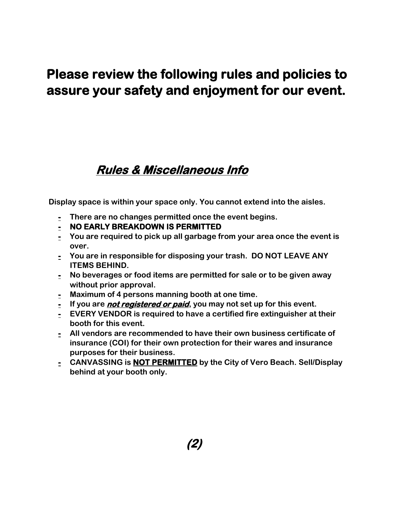## **Please review the following rules and policies to assure your safety and enjoyment for our event.**

#### **Rules & Miscellaneous Info**

 **Display space is within your space only. You cannot extend into the aisles.** 

- **- There are no changes permitted once the event begins.**
- **- NO EARLY BREAKDOWN IS PERMITTED**
- **- You are required to pick up all garbage from your area once the event is over.**
- **- You are in responsible for disposing your trash. DO NOT LEAVE ANY ITEMS BEHIND.**
- **- No beverages or food items are permitted for sale or to be given away without prior approval.**
- **- Maximum of 4 persons manning booth at one time.**
- **- If you are not registered or paid, you may not set up for this event.**
- **- EVERY VENDOR is required to have a certified fire extinguisher at their booth for this event.**
- **- All vendors are recommended to have their own business certificate of insurance (COI) for their own protection for their wares and insurance purposes for their business.**
- **- CANVASSING is NOT PERMITTED by the City of Vero Beach. Sell/Display behind at your booth only.**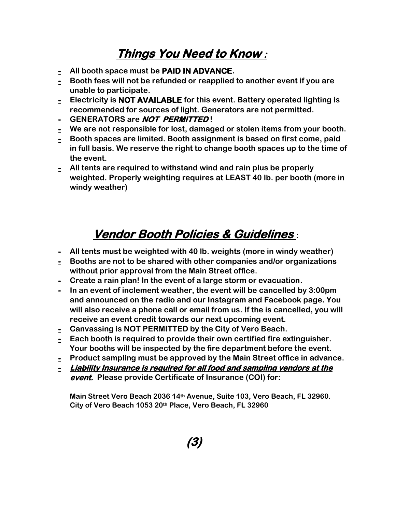### **Things You Need to Know :**

- **- All booth space must be PAID IN ADVANCE.**
- **- Booth fees will not be refunded or reapplied to another event if you are unable to participate.**
- **- Electricity is NOT AVAILABLE for this event. Battery operated lighting is recommended for sources of light. Generators are not permitted.**
- **- GENERATORS are NOT PERMITTED !**
- **- We are not responsible for lost, damaged or stolen items from your booth.**
- **- Booth spaces are limited. Booth assignment is based on first come, paid in full basis. We reserve the right to change booth spaces up to the time of the event.**
- **- All tents are required to withstand wind and rain plus be properly weighted. Properly weighting requires at LEAST 40 lb. per booth (more in windy weather)**

# **Vendor Booth Policies & Guidelines :**

- **- All tents must be weighted with 40 lb. weights (more in windy weather)**
- **- Booths are not to be shared with other companies and/or organizations without prior approval from the Main Street office.**
- **- Create a rain plan! In the event of a large storm or evacuation.**
- **- In an event of inclement weather, the event will be cancelled by 3:00pm and announced on the radio and our Instagram and Facebook page. You will also receive a phone call or email from us. If the is cancelled, you will receive an event credit towards our next upcoming event.**
- **- Canvassing is NOT PERMITTED by the City of Vero Beach.**
- **- Each booth is required to provide their own certified fire extinguisher. Your booths will be inspected by the fire department before the event.**
- **- Product sampling must be approved by the Main Street office in advance.**
- **- Liability Insurance is required for all food and sampling vendors at the event. Please provide Certificate of Insurance (COI) for:**

**Main Street Vero Beach 2036 14th Avenue, Suite 103, Vero Beach, FL 32960. City of Vero Beach 1053 20th Place, Vero Beach, FL 32960**